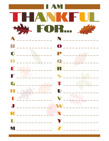